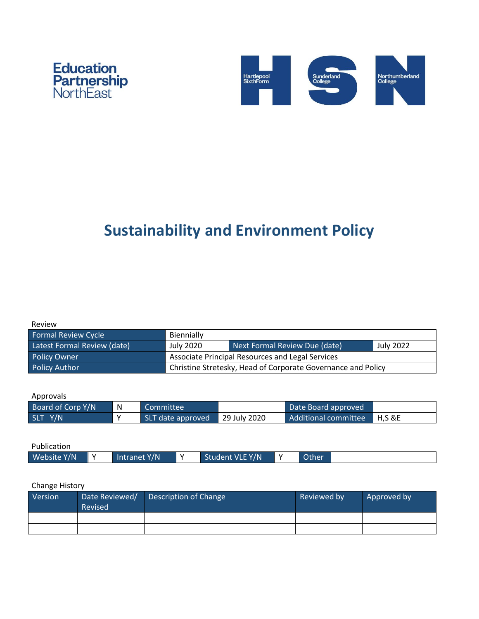



# **Sustainability and Environment Policy**

| Review |  |
|--------|--|
|        |  |

| Formal Review Cycle         | Biennially                                                   |                               |           |  |
|-----------------------------|--------------------------------------------------------------|-------------------------------|-----------|--|
| Latest Formal Review (date) | July 2020                                                    | Next Formal Review Due (date) | July 2022 |  |
| <b>Policy Owner</b>         | <b>Associate Principal Resources and Legal Services</b>      |                               |           |  |
| <b>Policy Author</b>        | Christine Stretesky, Head of Corporate Governance and Policy |                               |           |  |

Approvals

| Board of Corp Y/N | N           | Committee                      | Date Board approved         |  |
|-------------------|-------------|--------------------------------|-----------------------------|--|
| SLT Y/N           | $\mathbf v$ | SLT date approved 29 July 2020 | Additional committee H,S &E |  |

| Publication |              |                 |              |  |
|-------------|--------------|-----------------|--------------|--|
| Website Y/N | Intranet Y/N | Student VLE Y/N | <b>Other</b> |  |

## Change History

| Version | Date Reviewed/<br>Revised | Description of Change | Reviewed by | Approved by |
|---------|---------------------------|-----------------------|-------------|-------------|
|         |                           |                       |             |             |
|         |                           |                       |             |             |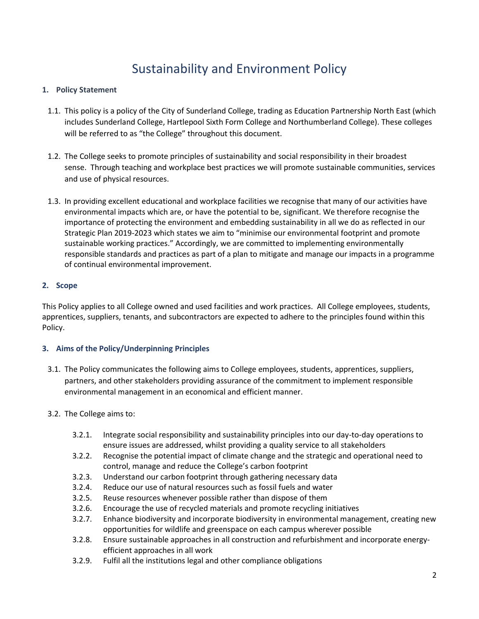# Sustainability and Environment Policy

#### **1. Policy Statement**

- 1.1. This policy is a policy of the City of Sunderland College, trading as Education Partnership North East (which includes Sunderland College, Hartlepool Sixth Form College and Northumberland College). These colleges will be referred to as "the College" throughout this document.
- 1.2. The College seeks to promote principles of sustainability and social responsibility in their broadest sense. Through teaching and workplace best practices we will promote sustainable communities, services and use of physical resources.
- 1.3. In providing excellent educational and workplace facilities we recognise that many of our activities have environmental impacts which are, or have the potential to be, significant. We therefore recognise the importance of protecting the environment and embedding sustainability in all we do as reflected in our Strategic Plan 2019-2023 which states we aim to "minimise our environmental footprint and promote sustainable working practices." Accordingly, we are committed to implementing environmentally responsible standards and practices as part of a plan to mitigate and manage our impacts in a programme of continual environmental improvement.

#### **2. Scope**

This Policy applies to all College owned and used facilities and work practices. All College employees, students, apprentices, suppliers, tenants, and subcontractors are expected to adhere to the principles found within this Policy.

#### **3. Aims of the Policy/Underpinning Principles**

- 3.1. The Policy communicates the following aims to College employees, students, apprentices, suppliers, partners, and other stakeholders providing assurance of the commitment to implement responsible environmental management in an economical and efficient manner.
- 3.2. The College aims to:
	- 3.2.1. Integrate social responsibility and sustainability principles into our day-to-day operations to ensure issues are addressed, whilst providing a quality service to all stakeholders
	- 3.2.2. Recognise the potential impact of climate change and the strategic and operational need to control, manage and reduce the College's carbon footprint
	- 3.2.3. Understand our carbon footprint through gathering necessary data
	- 3.2.4. Reduce our use of natural resources such as fossil fuels and water
	- 3.2.5. Reuse resources whenever possible rather than dispose of them
	- 3.2.6. Encourage the use of recycled materials and promote recycling initiatives
	- 3.2.7. Enhance biodiversity and incorporate biodiversity in environmental management, creating new opportunities for wildlife and greenspace on each campus wherever possible
	- 3.2.8. Ensure sustainable approaches in all construction and refurbishment and incorporate energyefficient approaches in all work
	- 3.2.9. Fulfil all the institutions legal and other compliance obligations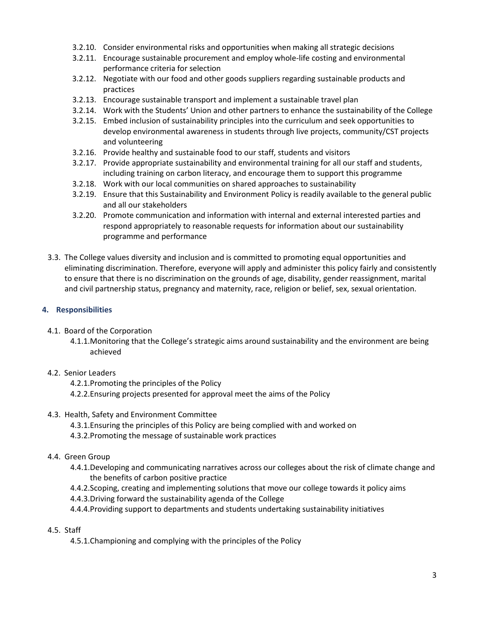- 3.2.10. Consider environmental risks and opportunities when making all strategic decisions
- 3.2.11. Encourage sustainable procurement and employ whole-life costing and environmental performance criteria for selection
- 3.2.12. Negotiate with our food and other goods suppliers regarding sustainable products and practices
- 3.2.13. Encourage sustainable transport and implement a sustainable travel plan
- 3.2.14. Work with the Students' Union and other partners to enhance the sustainability of the College
- 3.2.15. Embed inclusion of sustainability principles into the curriculum and seek opportunities to develop environmental awareness in students through live projects, community/CST projects and volunteering
- 3.2.16. Provide healthy and sustainable food to our staff, students and visitors
- 3.2.17. Provide appropriate sustainability and environmental training for all our staff and students, including training on carbon literacy, and encourage them to support this programme
- 3.2.18. Work with our local communities on shared approaches to sustainability
- 3.2.19. Ensure that this Sustainability and Environment Policy is readily available to the general public and all our stakeholders
- 3.2.20. Promote communication and information with internal and external interested parties and respond appropriately to reasonable requests for information about our sustainability programme and performance
- 3.3. The College values diversity and inclusion and is committed to promoting equal opportunities and eliminating discrimination. Therefore, everyone will apply and administer this policy fairly and consistently to ensure that there is no discrimination on the grounds of age, disability, gender reassignment, marital and civil partnership status, pregnancy and maternity, race, religion or belief, sex, sexual orientation.

#### **4. Responsibilities**

- 4.1. Board of the Corporation
	- 4.1.1.Monitoring that the College's strategic aims around sustainability and the environment are being achieved

#### 4.2. Senior Leaders

- 4.2.1.Promoting the principles of the Policy
- 4.2.2.Ensuring projects presented for approval meet the aims of the Policy
- 4.3. Health, Safety and Environment Committee
	- 4.3.1.Ensuring the principles of this Policy are being complied with and worked on
	- 4.3.2.Promoting the message of sustainable work practices
- 4.4. Green Group
	- 4.4.1.Developing and communicating narratives across our colleges about the risk of climate change and the benefits of carbon positive practice
	- 4.4.2.Scoping, creating and implementing solutions that move our college towards it policy aims
	- 4.4.3.Driving forward the sustainability agenda of the College
	- 4.4.4.Providing support to departments and students undertaking sustainability initiatives

#### 4.5. Staff

4.5.1.Championing and complying with the principles of the Policy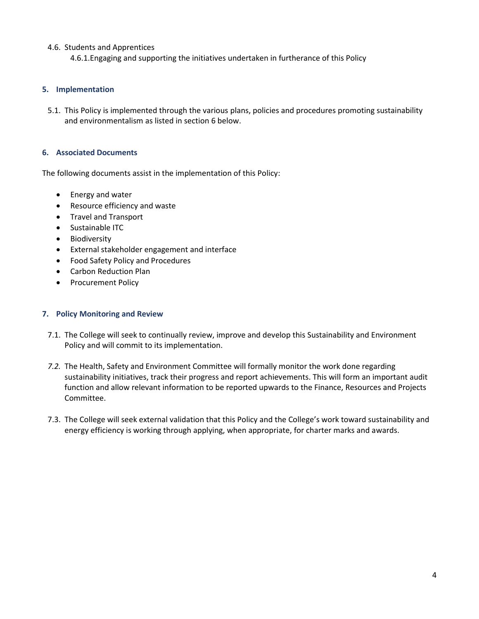#### 4.6. Students and Apprentices

4.6.1.Engaging and supporting the initiatives undertaken in furtherance of this Policy

#### **5. Implementation**

5.1. This Policy is implemented through the various plans, policies and procedures promoting sustainability and environmentalism as listed in section 6 below.

#### **6. Associated Documents**

The following documents assist in the implementation of this Policy:

- Energy and water
- Resource efficiency and waste
- Travel and Transport
- Sustainable ITC
- Biodiversity
- External stakeholder engagement and interface
- Food Safety Policy and Procedures
- Carbon Reduction Plan
- Procurement Policy

#### **7. Policy Monitoring and Review**

- 7.1. The College will seek to continually review, improve and develop this Sustainability and Environment Policy and will commit to its implementation.
- *7.2.* The Health, Safety and Environment Committee will formally monitor the work done regarding sustainability initiatives, track their progress and report achievements. This will form an important audit function and allow relevant information to be reported upwards to the Finance, Resources and Projects Committee.
- 7.3. The College will seek external validation that this Policy and the College's work toward sustainability and energy efficiency is working through applying, when appropriate, for charter marks and awards.